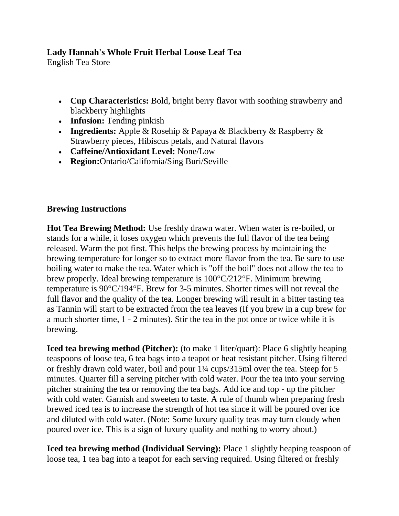## **Lady Hannah's Whole Fruit Herbal Loose Leaf Tea**

English Tea Store

- **Cup Characteristics:** Bold, bright berry flavor with soothing strawberry and blackberry highlights
- **Infusion:** Tending pinkish
- **Ingredients:** Apple & Rosehip & Papaya & Blackberry & Raspberry & Strawberry pieces, Hibiscus petals, and Natural flavors
- **Caffeine/Antioxidant Level:** None/Low
- **Region:**Ontario/California/Sing Buri/Seville

## **Brewing Instructions**

**Hot Tea Brewing Method:** Use freshly drawn water. When water is re-boiled, or stands for a while, it loses oxygen which prevents the full flavor of the tea being released. Warm the pot first. This helps the brewing process by maintaining the brewing temperature for longer so to extract more flavor from the tea. Be sure to use boiling water to make the tea. Water which is "off the boil" does not allow the tea to brew properly. Ideal brewing temperature is 100°C/212°F. Minimum brewing temperature is 90°C/194°F. Brew for 3-5 minutes. Shorter times will not reveal the full flavor and the quality of the tea. Longer brewing will result in a bitter tasting tea as Tannin will start to be extracted from the tea leaves (If you brew in a cup brew for a much shorter time, 1 - 2 minutes). Stir the tea in the pot once or twice while it is brewing.

**Iced tea brewing method (Pitcher):** (to make 1 liter/quart): Place 6 slightly heaping teaspoons of loose tea, 6 tea bags into a teapot or heat resistant pitcher. Using filtered or freshly drawn cold water, boil and pour 1¼ cups/315ml over the tea. Steep for 5 minutes. Quarter fill a serving pitcher with cold water. Pour the tea into your serving pitcher straining the tea or removing the tea bags. Add ice and top - up the pitcher with cold water. Garnish and sweeten to taste. A rule of thumb when preparing fresh brewed iced tea is to increase the strength of hot tea since it will be poured over ice and diluted with cold water. (Note: Some luxury quality teas may turn cloudy when poured over ice. This is a sign of luxury quality and nothing to worry about.)

**Iced tea brewing method (Individual Serving):** Place 1 slightly heaping teaspoon of loose tea, 1 tea bag into a teapot for each serving required. Using filtered or freshly